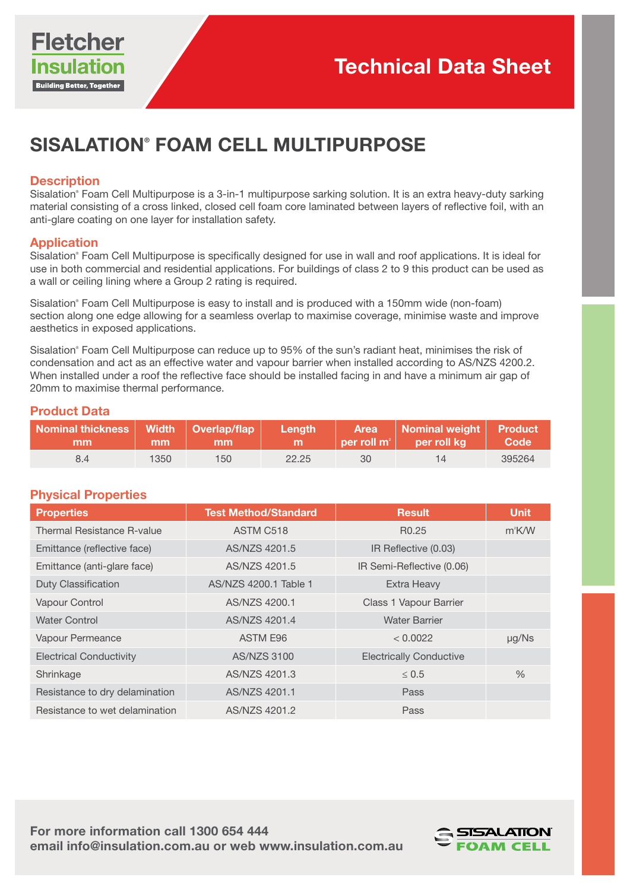# SISALATION® FOAM CELL MULTIPURPOSE

### **Description**

Sisalation® Foam Cell Multipurpose is a 3-in-1 multipurpose sarking solution. It is an extra heavy-duty sarking material consisting of a cross linked, closed cell foam core laminated between layers of reflective foil, with an anti-glare coating on one layer for installation safety.

### Application

Sisalation® Foam Cell Multipurpose is specifically designed for use in wall and roof applications. It is ideal for use in both commercial and residential applications. For buildings of class 2 to 9 this product can be used as a wall or ceiling lining where a Group 2 rating is required.

Sisalation® Foam Cell Multipurpose is easy to install and is produced with a 150mm wide (non-foam) section along one edge allowing for a seamless overlap to maximise coverage, minimise waste and improve aesthetics in exposed applications.

Sisalation® Foam Cell Multipurpose can reduce up to 95% of the sun's radiant heat, minimises the risk of condensation and act as an effective water and vapour barrier when installed according to AS/NZS 4200.2. When installed under a roof the reflective face should be installed facing in and have a minimum air gap of 20mm to maximise thermal performance.

## Product Data

| Nominal thickness   Width   Overlap/flap   Length  <br>mm |      | $\sqrt{m}$ mm $\sqrt{m}$ | <b>CONTRACTOR</b> |    | Area Nominal weight Product<br>$\vert\vert$ per roll m <sup>2</sup> $\vert$ per roll kg $\vert$ Code $\vert$ |        |
|-----------------------------------------------------------|------|--------------------------|-------------------|----|--------------------------------------------------------------------------------------------------------------|--------|
|                                                           | 1350 | 150                      | 22.25             | 30 | 14                                                                                                           | 395264 |

# Physical Properties

| <b>Properties</b>              | <b>Test Method/Standard</b> | <b>Result</b>                  | <b>Unit</b>   |
|--------------------------------|-----------------------------|--------------------------------|---------------|
| Thermal Resistance R-value     | ASTM C518                   | R <sub>0.25</sub>              | $m^2$ K/W     |
| Emittance (reflective face)    | AS/NZS 4201.5               | IR Reflective (0.03)           |               |
| Emittance (anti-glare face)    | AS/NZS 4201.5               | IR Semi-Reflective (0.06)      |               |
| <b>Duty Classification</b>     | AS/NZS 4200.1 Table 1       | Extra Heavy                    |               |
| Vapour Control                 | AS/NZS 4200.1               | Class 1 Vapour Barrier         |               |
| <b>Water Control</b>           | AS/NZS 4201.4               | <b>Water Barrier</b>           |               |
| Vapour Permeance               | ASTM E96                    | < 0.0022                       | $\mu$ g/Ns    |
| <b>Electrical Conductivity</b> | <b>AS/NZS 3100</b>          | <b>Electrically Conductive</b> |               |
| Shrinkage                      | AS/NZS 4201.3               | $\leq 0.5$                     | $\frac{0}{0}$ |
| Resistance to dry delamination | AS/NZS 4201.1               | Pass                           |               |
| Resistance to wet delamination | AS/NZS 4201.2               | Pass                           |               |

For more information call 1300 654 444 email info@insulation.com.au or web www.insulation.com.au